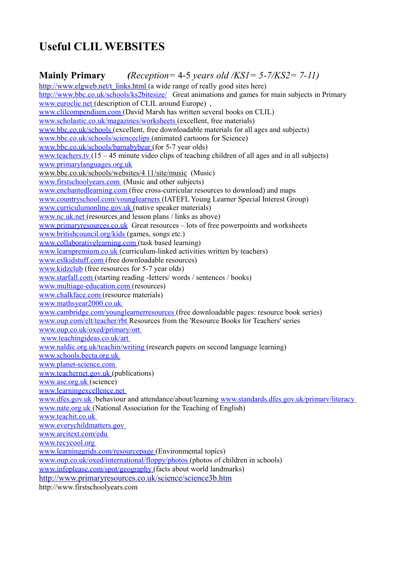# **Useful CLIL WEBSITES**

# **Mainly Primary** *(Reception=* 4-5 *years old /KS1= 5-7/KS2= 7-11)* http://www.elgweb.net/t\_links.html (a wide range of really good sites here) <http://www.bbc.co.uk/schools/ks2bitesize/>[Great animations and games for main subjects in Primary](http://www.euroclic.net/)

www.euroclic.net (description of CLIL around Europe),  [www.clilcompendium.com](http://www.clilcompendium.com/) (David Marsh has written several books on CLIL)  [www.scholastic.co.uk/magazines/worksheets](http://www.scholastic.co.uk/magazines/worksheets) (excellent, free materials) [www.bbc.co.uk/schools](http://www.bbc.co.uk/schools) (excellent, free downloadable materials for all ages and subjects)  [www.bbc.co.uk/schools/scienceclips](http://www.bbc.co.uk/schools/scienceclips) (animated cartoons for Science) [www.bbc.co.uk/schools/barnabybear](http://www.bbc.co.uk/schools/barnabybear) (for 5-7 year olds)  [www.teachers.tv](http://www.teachers.tv/) (15 – 45 minute video clips of teaching children of all ages and in all subjects) [www.primarylanguages.org.uk](http://www.primarylanguages.org.uk/) www.bbc.co.uk/schools/websites/4 11/site/music (Music)  [www.firstschoolyears.com](http://www.firstschoolyears.com/) (Music and other subjects) [www.enchantedlearning.com](http://www.enchantedlearning.com/) (free cross-curricular resources to download) and maps  [www.countryschool.com/voungIearners](http://www.countryschool.com/voungIearners) (IATEFL Young Learner Special Interest Group)  [www.curriculumonline.gov.uk](http://www.curriculumonline.gov.uk/) (native speaker materials)  [www.nc.uk.net](http://www.nc.uk.net/) (resources and lesson plans / links as above) [www.primaryresources.co.uk](http://www.primaryresources.co.uk/) Great resources – lots of free powerpoints and worksheets  [www.britishcouncil.org/kids](http://www.britishcouncil.org/kids) (games, songs etc.) [www.collaborativelearning.com](http://www.collaborativelearning.com/) (task based learning) [www.learnpremium.co.uk](http://www.learnpremium.co.uk/) (curriculum-linked activities written by teachers)  [www.eslkidstuff.com](http://www.eslkidstuff.com/) (free downloadable resources) [www.kidzclub](http://www.kidzclub/) (free resources for 5-7 year olds)  [www.starfall.com](http://www.starfall.com/) (starting reading -Ietters/ words / sentences / books) [www.multiage-education.com](http://www.multiage-education.com/) (resources)  [www.chalkface.com](http://www.chalkface.com/) (resource materials) [www.mathsyear2000.co.uk](http://www.mathsyear2000.co.uk/) [www.cambridge.com/younglearnerresources](http://www.cambridge.com/younglearnerresources) (free downloadable pages: resource book series)  [www.oup.com/elt/teacher/rbt](http://www.oup.com/elt/teacher/rbt) Resources from the 'Resource Books for Teachers' series  [www.oup.co.uk/oxed/primary/ort](http://www.oup.co.uk/oxed/primary/ort)  [www.teachingideas.co.uk/art](http://www.teachingideas.co.uk/art)  [www.naldic.org.uk/teachin/writing](http://www.naldic.org.uk/teachin/writing) (research papers on second language learning) [www.schools.becta.org.uk](http://www.schools.becta.org.uk/) [www.planet-science.com](http://www.planet-science.com/)  [www.teachernet.gov.uk](http://www.teachernet.gov.uk/) (publications)  [www.ase.org.uk](http://www.ase.org.uk/) (science) [www.learningexcellence.net](http://www.learningexcellence.net/)  [www.dfes.gov.uk](http://www.dfes.gov.uk/) /behaviour and attendance/about/learning [www.standards.dfes.gov.uk/primarv/literacy](http://www.standards.dfes.gov.uk/primarv/literacy)  [www.nate.org.uk](http://www.nate.org.uk/) (National Association for the Teaching of English)  [www.teachit.co.uk](http://www.teachit.co.uk/) [www.everychildmatters.gov](http://www.everychildmatters.gov/)  [www.arcitext.com/edu](http://www.arcitext.com/edu)  [www.recycool.org](http://www.recycool.org/) [www.learninggrids.com/resourcepage](http://www.learninggrids.com/resourcepage) (Environmental topics) www.oup.co.uk/oxed/international/floppy/photos (photos of children in schools)  [www.infoplease.com/spot/geography](http://www.infoplease.com/spot/geography) (facts about world landmarks) <http://www.primaryresources.co.uk/science/science3b.htm> [http://www.firstschoolyears.com](http://www.firstschoolyears.com/)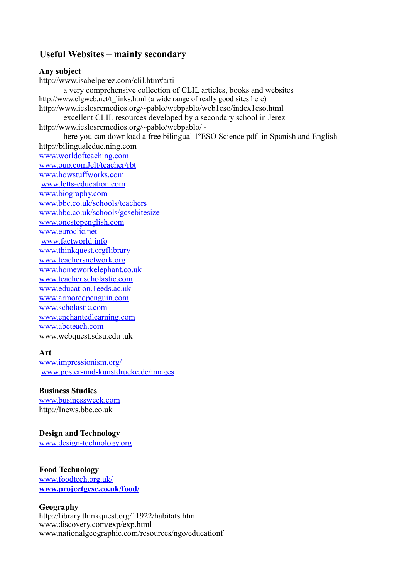# **Useful Websites – mainly secondary**

## **Any subject**

http://www.isabelperez.com/clil.htm#arti a very comprehensive collection of CLIL articles, books and websites http://www.elgweb.net/t\_links.html (a wide range of really good sites here) http://www.ieslosremedios.org/~pablo/webpablo/web1eso/index1eso.html excellent CLIL resources developed by a secondary school in Jerez http://www.ieslosremedios.org/~pablo/webpablo/ here you can download a free bilingual 1ºESO Science pdf in Spanish and English http://bilingualeduc.ning.com [www.worldofteaching.com](http://www.worldofteaching.com/) [www.oup.comJelt/teacher/rbt](http://www.oup.comJelt/teacher/rbt) [www.howstuffworks.com](http://www.howstuffworks.com/) [www.letts-education.com](http://www.letts-education.com/) [www.biography.com](http://www.biography.com/) [www.bbc.co.uk/schools/teachers](http://www.bbc.co.uk/schools/teachers) [www.bbc.co.uk/schools/gcsebitesize](http://www.bbc.co.uk/schools/gcsebitesize) [www.onestopenglish.com](http://www.onestopenglish.com/) [www.euroclic.net](http://www.euroclic.net/) [www.factworld.info](http://www.factworld.info/) [www.thinkquest.orgflibrary](http://www.thinkquest.orgflibrary/) [www.teachersnetwork.org](http://www.teachersnetwork.org/) [www.homeworkelephant.co.uk](http://www.homeworkelephant.co.uk/) [www.teacher.scholastic.com](http://www.teacher.scholastic.com/) [www.education.1eeds.ac.uk](http://www.education.1eeds.ac.uk/) [www.armoredpenguin.com](http://www.armoredpenguin.com/) [www.scholastic.com](http://www.scholastic.com/) [www.enchantedlearning.com](http://www.enchantedlearning.com/) [www.abcteach.com](http://www.abcteach.com/) www.webquest.sdsu.edu .uk

### **Art**

[www.impressionism.org/](http://www.impressionism.org/) [www.poster-und-kunstdrucke.de/images](http://www.poster-und-kunstdrucke.de/images)

# **Business Studies**

[www.businessweek.com](http://www.businessweek.com/) http://Inews.bbc.co.uk

# **Design and Technology**

[www.design-technology.org](http://www.design-technology.org/)

# **Food Technology**

[www.foodtech.org.uk/](http://www.foodtech.org.uk/) **[www.projectgcse.co.uk/food/](http://www.projectgcse.co.uk/food/)**

### **Geography**

http://library.thinkquest.org/11922/habitats.htm www.discovery.com/exp/exp.html www.nationalgeographic.com/resources/ngo/educationf